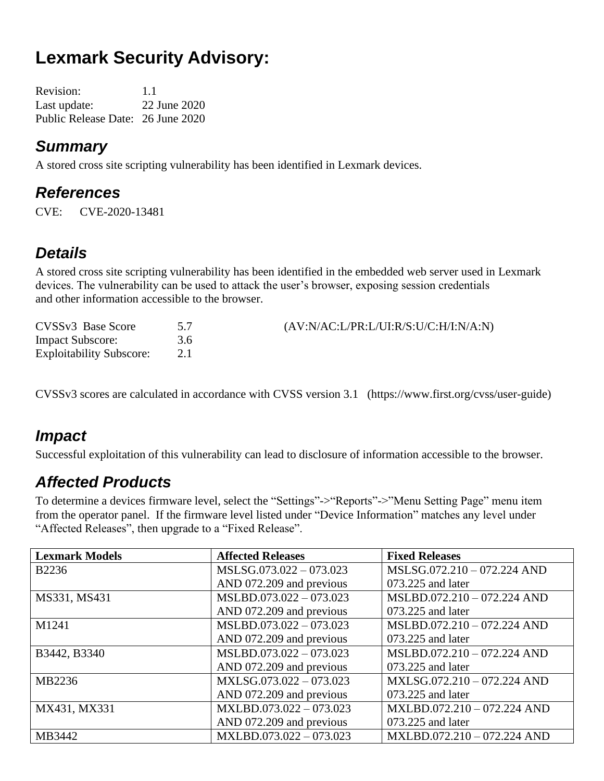# **Lexmark Security Advisory:**

Revision: 1.1 Last update: 22 June 2020 Public Release Date: 26 June 2020

#### *Summary*

A stored cross site scripting vulnerability has been identified in Lexmark devices.

#### *References*

CVE: CVE-2020-13481

# *Details*

A stored cross site scripting vulnerability has been identified in the embedded web server used in Lexmark devices. The vulnerability can be used to attack the user's browser, exposing session credentials and other information accessible to the browser.

| CVSSv3 Base Score               | 5.7 | (AV:N/AC:L/PR:L/UI:R/S:U/C:H/I:N/A:N) |
|---------------------------------|-----|---------------------------------------|
| <b>Impact Subscore:</b>         | 3.6 |                                       |
| <b>Exploitability Subscore:</b> |     |                                       |

CVSSv3 scores are calculated in accordance with CVSS version 3.1 (https://www.first.org/cvss/user-guide)

# *Impact*

Successful exploitation of this vulnerability can lead to disclosure of information accessible to the browser.

# *Affected Products*

To determine a devices firmware level, select the "Settings"->"Reports"->"Menu Setting Page" menu item from the operator panel. If the firmware level listed under "Device Information" matches any level under "Affected Releases", then upgrade to a "Fixed Release".

| <b>Lexmark Models</b> | <b>Affected Releases</b> | <b>Fixed Releases</b>       |
|-----------------------|--------------------------|-----------------------------|
| <b>B2236</b>          | MSLSG.073.022 - 073.023  | MSLSG.072.210 - 072.224 AND |
|                       | AND 072.209 and previous | 073.225 and later           |
| MS331, MS431          | MSLBD.073.022 - 073.023  | MSLBD.072.210 - 072.224 AND |
|                       | AND 072.209 and previous | 073.225 and later           |
| M1241                 | MSLBD.073.022 - 073.023  | MSLBD.072.210 - 072.224 AND |
|                       | AND 072.209 and previous | $073.225$ and later         |
| B3442, B3340          | MSLBD.073.022 - 073.023  | MSLBD.072.210 - 072.224 AND |
|                       | AND 072.209 and previous | $073.225$ and later         |
| MB2236                | MXLSG.073.022 - 073.023  | MXLSG.072.210 - 072.224 AND |
|                       | AND 072.209 and previous | $073.225$ and later         |
| MX431, MX331          | MXLBD.073.022 - 073.023  | MXLBD.072.210 - 072.224 AND |
|                       | AND 072.209 and previous | $073.225$ and later         |
| MB3442                | MXLBD.073.022 - 073.023  | MXLBD.072.210 - 072.224 AND |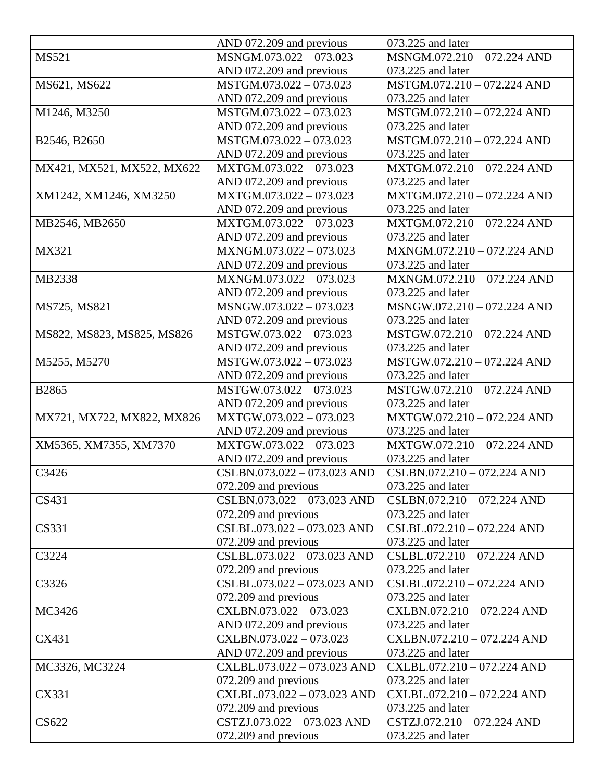|                            | AND 072.209 and previous    | 073.225 and later           |
|----------------------------|-----------------------------|-----------------------------|
| <b>MS521</b>               | MSNGM.073.022 - 073.023     | MSNGM.072.210 - 072.224 AND |
|                            | AND 072.209 and previous    | 073.225 and later           |
| MS621, MS622               | MSTGM.073.022 - 073.023     | MSTGM.072.210 - 072.224 AND |
|                            | AND 072.209 and previous    | 073.225 and later           |
| M1246, M3250               | MSTGM.073.022 - 073.023     | MSTGM.072.210 - 072.224 AND |
|                            | AND 072.209 and previous    | 073.225 and later           |
| B2546, B2650               | MSTGM.073.022 - 073.023     | MSTGM.072.210 - 072.224 AND |
|                            | AND 072.209 and previous    | 073.225 and later           |
| MX421, MX521, MX522, MX622 | MXTGM.073.022 - 073.023     | MXTGM.072.210 - 072.224 AND |
|                            | AND 072.209 and previous    | 073.225 and later           |
| XM1242, XM1246, XM3250     | MXTGM.073.022 - 073.023     | MXTGM.072.210 - 072.224 AND |
|                            | AND 072.209 and previous    | 073.225 and later           |
| MB2546, MB2650             | MXTGM.073.022 - 073.023     | MXTGM.072.210 - 072.224 AND |
|                            | AND 072.209 and previous    | 073.225 and later           |
| MX321                      | MXNGM.073.022 - 073.023     | MXNGM.072.210 - 072.224 AND |
|                            | AND 072.209 and previous    | 073.225 and later           |
| MB2338                     | MXNGM.073.022 - 073.023     | MXNGM.072.210 - 072.224 AND |
|                            | AND 072.209 and previous    | 073.225 and later           |
| MS725, MS821               | MSNGW.073.022 - 073.023     | MSNGW.072.210 - 072.224 AND |
|                            | AND 072.209 and previous    | 073.225 and later           |
| MS822, MS823, MS825, MS826 | MSTGW.073.022 - 073.023     | MSTGW.072.210 - 072.224 AND |
|                            | AND 072.209 and previous    | 073.225 and later           |
| M5255, M5270               | MSTGW.073.022 - 073.023     | MSTGW.072.210 - 072.224 AND |
|                            | AND 072.209 and previous    | 073.225 and later           |
| B2865                      | MSTGW.073.022 - 073.023     | MSTGW.072.210 - 072.224 AND |
|                            | AND 072.209 and previous    | 073.225 and later           |
| MX721, MX722, MX822, MX826 | MXTGW.073.022 - 073.023     | MXTGW.072.210 - 072.224 AND |
|                            | AND 072.209 and previous    | 073.225 and later           |
| XM5365, XM7355, XM7370     | MXTGW.073.022 - 073.023     | MXTGW.072.210 - 072.224 AND |
|                            | AND 072.209 and previous    | 073.225 and later           |
| C3426                      | CSLBN.073.022 - 073.023 AND | CSLBN.072.210 - 072.224 AND |
|                            | 072.209 and previous        | 073.225 and later           |
| CS431                      | CSLBN.073.022 - 073.023 AND | CSLBN.072.210 - 072.224 AND |
|                            | 072.209 and previous        | 073.225 and later           |
| CS331                      | CSLBL.073.022 - 073.023 AND | CSLBL.072.210 - 072.224 AND |
|                            | 072.209 and previous        | 073.225 and later           |
| C3224                      | CSLBL.073.022 - 073.023 AND | CSLBL.072.210 - 072.224 AND |
|                            | 072.209 and previous        | 073.225 and later           |
| C3326                      | CSLBL.073.022 - 073.023 AND | CSLBL.072.210 - 072.224 AND |
|                            | 072.209 and previous        | 073.225 and later           |
| MC3426                     | CXLBN.073.022 - 073.023     | CXLBN.072.210 - 072.224 AND |
|                            | AND 072.209 and previous    | 073.225 and later           |
| CX431                      | $CXLBN.073.022 - 073.023$   | CXLBN.072.210 - 072.224 AND |
|                            | AND 072.209 and previous    | 073.225 and later           |
| MC3326, MC3224             | CXLBL.073.022 - 073.023 AND | CXLBL.072.210 - 072.224 AND |
|                            | 072.209 and previous        | 073.225 and later           |
| CX331                      | CXLBL.073.022 - 073.023 AND | CXLBL.072.210 - 072.224 AND |
|                            | 072.209 and previous        | 073.225 and later           |
| CS622                      | CSTZJ.073.022 - 073.023 AND | CSTZJ.072.210 - 072.224 AND |
|                            | 072.209 and previous        | 073.225 and later           |
|                            |                             |                             |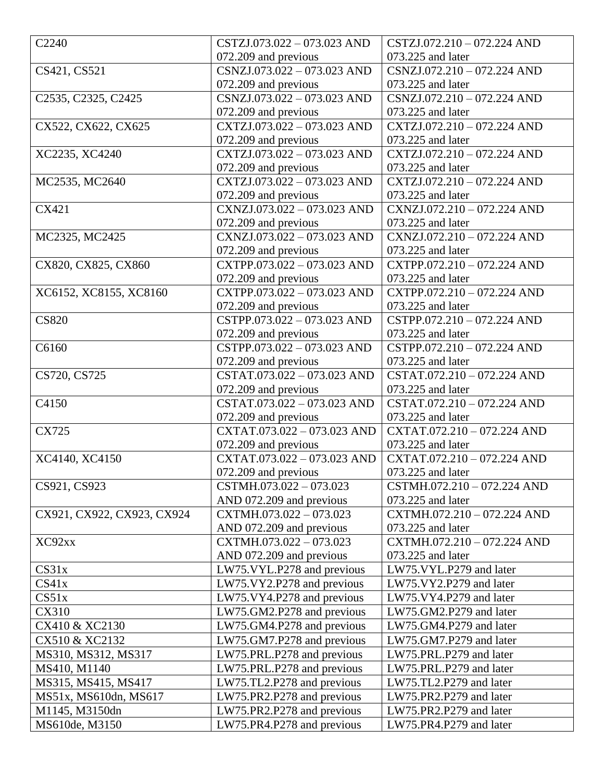| C <sub>2240</sub>                                         | CSTZJ.073.022 - 073.023 AND | CSTZJ.072.210 - 072.224 AND |
|-----------------------------------------------------------|-----------------------------|-----------------------------|
|                                                           | 072.209 and previous        | 073.225 and later           |
| CS421, CS521                                              | CSNZJ.073.022 - 073.023 AND | CSNZJ.072.210 - 072.224 AND |
|                                                           | 072.209 and previous        | 073.225 and later           |
| C <sub>2535</sub> , C <sub>2325</sub> , C <sub>2425</sub> | CSNZJ.073.022 - 073.023 AND | CSNZJ.072.210 - 072.224 AND |
|                                                           | 072.209 and previous        | 073.225 and later           |
| CX522, CX622, CX625                                       | CXTZJ.073.022 - 073.023 AND | CXTZJ.072.210 - 072.224 AND |
|                                                           | 072.209 and previous        | 073.225 and later           |
| XC2235, XC4240                                            | CXTZJ.073.022 - 073.023 AND | CXTZJ.072.210 - 072.224 AND |
|                                                           | 072.209 and previous        | 073.225 and later           |
| MC2535, MC2640                                            | CXTZJ.073.022 - 073.023 AND | CXTZJ.072.210 - 072.224 AND |
|                                                           | 072.209 and previous        | 073.225 and later           |
| CX421                                                     | CXNZJ.073.022 - 073.023 AND | CXNZJ.072.210 - 072.224 AND |
|                                                           | 072.209 and previous        | 073.225 and later           |
| MC2325, MC2425                                            | CXNZJ.073.022 - 073.023 AND | CXNZJ.072.210 - 072.224 AND |
|                                                           | 072.209 and previous        | 073.225 and later           |
| CX820, CX825, CX860                                       | CXTPP.073.022 - 073.023 AND | CXTPP.072.210 - 072.224 AND |
|                                                           | 072.209 and previous        | 073.225 and later           |
| XC6152, XC8155, XC8160                                    | CXTPP.073.022 - 073.023 AND | CXTPP.072.210 - 072.224 AND |
|                                                           | 072.209 and previous        | 073.225 and later           |
| <b>CS820</b>                                              | CSTPP.073.022 - 073.023 AND | CSTPP.072.210 - 072.224 AND |
|                                                           | 072.209 and previous        | 073.225 and later           |
| C6160                                                     | CSTPP.073.022 - 073.023 AND | CSTPP.072.210 - 072.224 AND |
|                                                           | 072.209 and previous        | 073.225 and later           |
| CS720, CS725                                              | CSTAT.073.022 - 073.023 AND | CSTAT.072.210 - 072.224 AND |
|                                                           | 072.209 and previous        | 073.225 and later           |
| C4150                                                     | CSTAT.073.022 - 073.023 AND | CSTAT.072.210 - 072.224 AND |
|                                                           | 072.209 and previous        | 073.225 and later           |
| CX725                                                     | CXTAT.073.022 - 073.023 AND | CXTAT.072.210 - 072.224 AND |
|                                                           | 072.209 and previous        | 073.225 and later           |
| XC4140, XC4150                                            | CXTAT.073.022 - 073.023 AND | CXTAT.072.210 - 072.224 AND |
|                                                           | 072.209 and previous        | 073.225 and later           |
| CS921, CS923                                              | CSTMH.073.022 - 073.023     | CSTMH.072.210 - 072.224 AND |
|                                                           | AND 072.209 and previous    | 073.225 and later           |
| CX921, CX922, CX923, CX924                                | CXTMH.073.022 - 073.023     | CXTMH.072.210 - 072.224 AND |
|                                                           | AND 072.209 and previous    | 073.225 and later           |
| XC92xx                                                    | $CXTMH.073.022 - 073.023$   | CXTMH.072.210 - 072.224 AND |
|                                                           | AND 072.209 and previous    | 073.225 and later           |
| CS31x                                                     | LW75.VYL.P278 and previous  | LW75.VYL.P279 and later     |
| CS41x                                                     | LW75.VY2.P278 and previous  | LW75.VY2.P279 and later     |
| CS51x                                                     | LW75.VY4.P278 and previous  | LW75.VY4.P279 and later     |
| CX310                                                     | LW75.GM2.P278 and previous  | LW75.GM2.P279 and later     |
| CX410 & XC2130                                            | LW75.GM4.P278 and previous  | LW75.GM4.P279 and later     |
| CX510 & XC2132                                            | LW75.GM7.P278 and previous  | LW75.GM7.P279 and later     |
| MS310, MS312, MS317                                       | LW75.PRL.P278 and previous  | LW75.PRL.P279 and later     |
| MS410, M1140                                              | LW75.PRL.P278 and previous  | LW75.PRL.P279 and later     |
| MS315, MS415, MS417                                       | LW75.TL2.P278 and previous  | LW75.TL2.P279 and later     |
| MS51x, MS610dn, MS617                                     | LW75.PR2.P278 and previous  | LW75.PR2.P279 and later     |
| M1145, M3150dn                                            | LW75.PR2.P278 and previous  | LW75.PR2.P279 and later     |
| MS610de, M3150                                            | LW75.PR4.P278 and previous  | LW75.PR4.P279 and later     |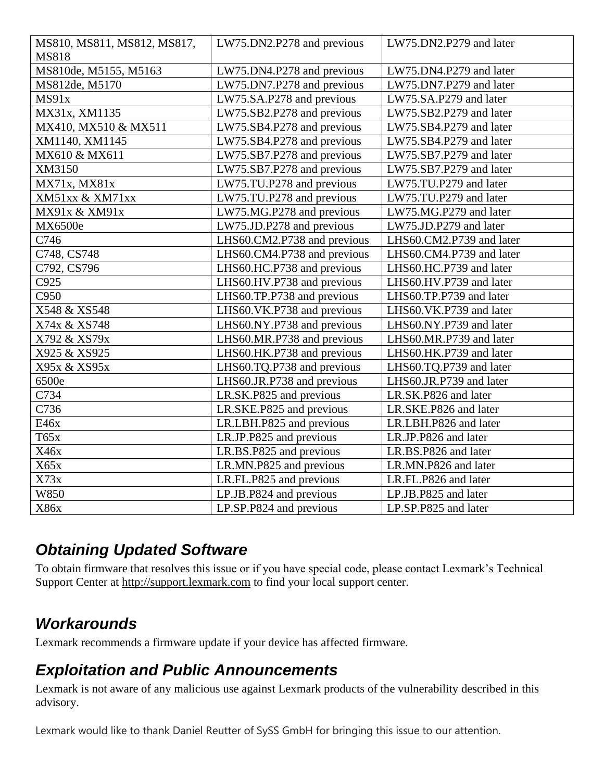| MS810, MS811, MS812, MS817, | LW75.DN2.P278 and previous  | LW75.DN2.P279 and later  |
|-----------------------------|-----------------------------|--------------------------|
| <b>MS818</b>                |                             |                          |
| MS810de, M5155, M5163       | LW75.DN4.P278 and previous  | LW75.DN4.P279 and later  |
| MS812de, M5170              | LW75.DN7.P278 and previous  | LW75.DN7.P279 and later  |
| MS91x                       | LW75.SA.P278 and previous   | LW75.SA.P279 and later   |
| MX31x, XM1135               | LW75.SB2.P278 and previous  | LW75.SB2.P279 and later  |
| MX410, MX510 & MX511        | LW75.SB4.P278 and previous  | LW75.SB4.P279 and later  |
| XM1140, XM1145              | LW75.SB4.P278 and previous  | LW75.SB4.P279 and later  |
| MX610 & MX611               | LW75.SB7.P278 and previous  | LW75.SB7.P279 and later  |
| XM3150                      | LW75.SB7.P278 and previous  | LW75.SB7.P279 and later  |
| MX71x, MX81x                | LW75.TU.P278 and previous   | LW75.TU.P279 and later   |
| XM51xx & XM71xx             | LW75.TU.P278 and previous   | LW75.TU.P279 and later   |
| MX91x & XM91x               | LW75.MG.P278 and previous   | LW75.MG.P279 and later   |
| MX6500e                     | LW75.JD.P278 and previous   | LW75.JD.P279 and later   |
| C746                        | LHS60.CM2.P738 and previous | LHS60.CM2.P739 and later |
| C748, CS748                 | LHS60.CM4.P738 and previous | LHS60.CM4.P739 and later |
| C792, CS796                 | LHS60.HC.P738 and previous  | LHS60.HC.P739 and later  |
| C925                        | LHS60.HV.P738 and previous  | LHS60.HV.P739 and later  |
| C <sub>950</sub>            | LHS60.TP.P738 and previous  | LHS60.TP.P739 and later  |
| X548 & XS548                | LHS60.VK.P738 and previous  | LHS60.VK.P739 and later  |
| X74x & XS748                | LHS60.NY.P738 and previous  | LHS60.NY.P739 and later  |
| X792 & XS79x                | LHS60.MR.P738 and previous  | LHS60.MR.P739 and later  |
| X925 & XS925                | LHS60.HK.P738 and previous  | LHS60.HK.P739 and later  |
| X95x & XS95x                | LHS60.TQ.P738 and previous  | LHS60.TQ.P739 and later  |
| 6500e                       | LHS60.JR.P738 and previous  | LHS60.JR.P739 and later  |
| C734                        | LR.SK.P825 and previous     | LR.SK.P826 and later     |
| C736                        | LR.SKE.P825 and previous    | LR.SKE.P826 and later    |
| E46x                        | LR.LBH.P825 and previous    | LR.LBH.P826 and later    |
| T65x                        | LR.JP.P825 and previous     | LR.JP.P826 and later     |
| X46x                        | LR.BS.P825 and previous     | LR.BS.P826 and later     |
| X65x                        | LR.MN.P825 and previous     | LR.MN.P826 and later     |
| X73x                        | LR.FL.P825 and previous     | LR.FL.P826 and later     |
| W850                        | LP.JB.P824 and previous     | LP.JB.P825 and later     |
| X86x                        | LP.SP.P824 and previous     | LP.SP.P825 and later     |

# *Obtaining Updated Software*

To obtain firmware that resolves this issue or if you have special code, please contact Lexmark's Technical Support Center at [http://support.lexmark.com](http://support.lexmark.com/) to find your local support center.

# *Workarounds*

Lexmark recommends a firmware update if your device has affected firmware.

# *Exploitation and Public Announcements*

Lexmark is not aware of any malicious use against Lexmark products of the vulnerability described in this advisory.

Lexmark would like to thank Daniel Reutter of SySS GmbH for bringing this issue to our attention.